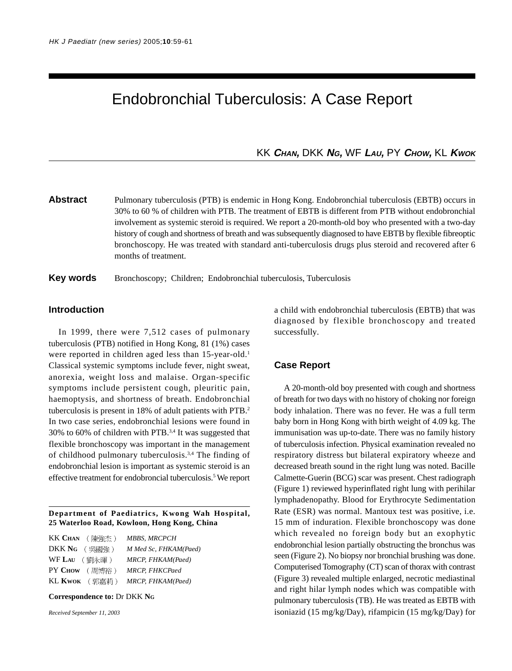# Endobronchial Tuberculosis: A Case Report

# KK **CHAN,** DKK **NG,** WF **LAU,** PY **CHOW,** KL **KWOK**

**Abstract** Pulmonary tuberculosis (PTB) is endemic in Hong Kong. Endobronchial tuberculosis (EBTB) occurs in 30% to 60 % of children with PTB. The treatment of EBTB is different from PTB without endobronchial involvement as systemic steroid is required. We report a 20-month-old boy who presented with a two-day history of cough and shortness of breath and was subsequently diagnosed to have EBTB by flexible fibreoptic bronchoscopy. He was treated with standard anti-tuberculosis drugs plus steroid and recovered after 6 months of treatment.

**Key words** Bronchoscopy; Children; Endobronchial tuberculosis, Tuberculosis

# **Introduction**

In 1999, there were 7,512 cases of pulmonary tuberculosis (PTB) notified in Hong Kong, 81 (1%) cases were reported in children aged less than 15-year-old.<sup>1</sup> Classical systemic symptoms include fever, night sweat, anorexia, weight loss and malaise. Organ-specific symptoms include persistent cough, pleuritic pain, haemoptysis, and shortness of breath. Endobronchial tuberculosis is present in 18% of adult patients with PTB.2 In two case series, endobronchial lesions were found in 30% to 60% of children with PTB.3,4 It was suggested that flexible bronchoscopy was important in the management of childhood pulmonary tuberculosis.3,4 The finding of endobronchial lesion is important as systemic steroid is an effective treatment for endobroncial tuberculosis.<sup>5</sup> We report

#### **Department of Paediatrics, Kwong Wah Hospital, 25 Waterloo Road, Kowloon, Hong Kong, China**

| $KK$ $CHAN$ (陳強杰) | MBBS, MRCPCH          |
|-------------------|-----------------------|
| DKK Ng (吳國強)      | M Med Sc, FHKAM(Paed) |
| WF LAU (劉永暉)      | MRCP, FHKAM(Paed)     |
| PY CHOW (周博裕)     | <b>MRCP, FHKCPaed</b> |
| KL KWOK (郭嘉莉)     | MRCP, FHKAM(Paed)     |

**Correspondence to:** Dr DKK **NG**

*Received September 11, 2003*

a child with endobronchial tuberculosis (EBTB) that was diagnosed by flexible bronchoscopy and treated successfully.

## **Case Report**

A 20-month-old boy presented with cough and shortness of breath for two days with no history of choking nor foreign body inhalation. There was no fever. He was a full term baby born in Hong Kong with birth weight of 4.09 kg. The immunisation was up-to-date. There was no family history of tuberculosis infection. Physical examination revealed no respiratory distress but bilateral expiratory wheeze and decreased breath sound in the right lung was noted. Bacille Calmette-Guerin (BCG) scar was present. Chest radiograph (Figure 1) reviewed hyperinflated right lung with perihilar lymphadenopathy. Blood for Erythrocyte Sedimentation Rate (ESR) was normal. Mantoux test was positive, i.e. 15 mm of induration. Flexible bronchoscopy was done which revealed no foreign body but an exophytic endobronchial lesion partially obstructing the bronchus was seen (Figure 2). No biopsy nor bronchial brushing was done. Computerised Tomography (CT) scan of thorax with contrast (Figure 3) revealed multiple enlarged, necrotic mediastinal and right hilar lymph nodes which was compatible with pulmonary tuberculosis (TB). He was treated as EBTB with isoniazid (15 mg/kg/Day), rifampicin (15 mg/kg/Day) for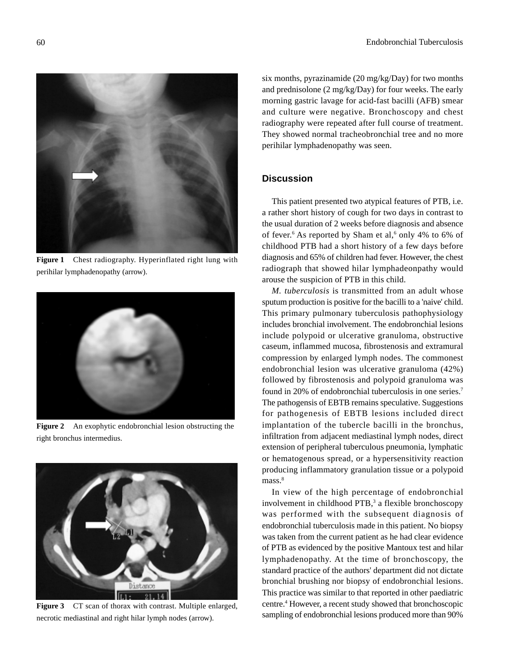

**Figure 1** Chest radiography. Hyperinflated right lung with perihilar lymphadenopathy (arrow).



**Figure 2** An exophytic endobronchial lesion obstructing the right bronchus intermedius.



Figure 3 CT scan of thorax with contrast. Multiple enlarged, necrotic mediastinal and right hilar lymph nodes (arrow).

six months, pyrazinamide (20 mg/kg/Day) for two months and prednisolone (2 mg/kg/Day) for four weeks. The early morning gastric lavage for acid-fast bacilli (AFB) smear and culture were negative. Bronchoscopy and chest radiography were repeated after full course of treatment. They showed normal tracheobronchial tree and no more perihilar lymphadenopathy was seen.

# **Discussion**

This patient presented two atypical features of PTB, i.e. a rather short history of cough for two days in contrast to the usual duration of 2 weeks before diagnosis and absence of fever.<sup>6</sup> As reported by Sham et al,<sup>6</sup> only 4% to 6% of childhood PTB had a short history of a few days before diagnosis and 65% of children had fever. However, the chest radiograph that showed hilar lymphadeonpathy would arouse the suspicion of PTB in this child.

*M. tuberculosis* is transmitted from an adult whose sputum production is positive for the bacilli to a 'naive' child. This primary pulmonary tuberculosis pathophysiology includes bronchial involvement. The endobronchial lesions include polypoid or ulcerative granuloma, obstructive caseum, inflammed mucosa, fibrostenosis and extramural compression by enlarged lymph nodes. The commonest endobronchial lesion was ulcerative granuloma (42%) followed by fibrostenosis and polypoid granuloma was found in 20% of endobronchial tuberculosis in one series.7 The pathogensis of EBTB remains speculative. Suggestions for pathogenesis of EBTB lesions included direct implantation of the tubercle bacilli in the bronchus, infiltration from adjacent mediastinal lymph nodes, direct extension of peripheral tuberculous pneumonia, lymphatic or hematogenous spread, or a hypersensitivity reaction producing inflammatory granulation tissue or a polypoid mass.<sup>8</sup>

In view of the high percentage of endobronchial involvement in childhood PTB,<sup>3</sup> a flexible bronchoscopy was performed with the subsequent diagnosis of endobronchial tuberculosis made in this patient. No biopsy was taken from the current patient as he had clear evidence of PTB as evidenced by the positive Mantoux test and hilar lymphadenopathy. At the time of bronchoscopy, the standard practice of the authors' department did not dictate bronchial brushing nor biopsy of endobronchial lesions. This practice was similar to that reported in other paediatric centre.4 However, a recent study showed that bronchoscopic sampling of endobronchial lesions produced more than 90%